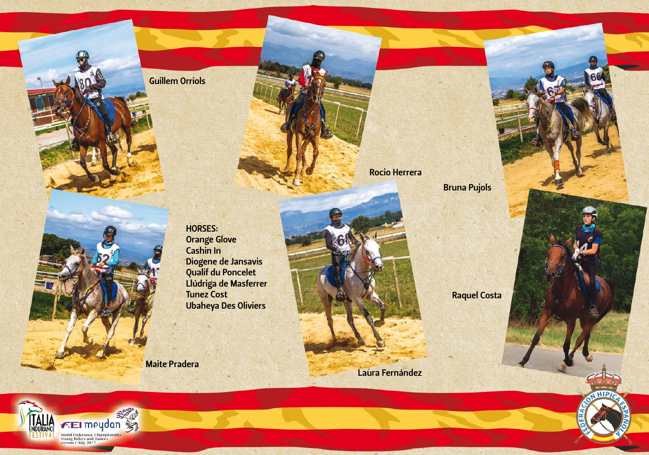Guillem Orriols

Rocio Herrera

Bruna Pujols

HORSES: Orange Glove Cashin In Diogene de Jansavis Qualif du Poncelet Llúdriga de Masferrer Tunez Cost Ubaheya Des Oliviers

Maite Pradera

Raquel Costa

Laura Fernández